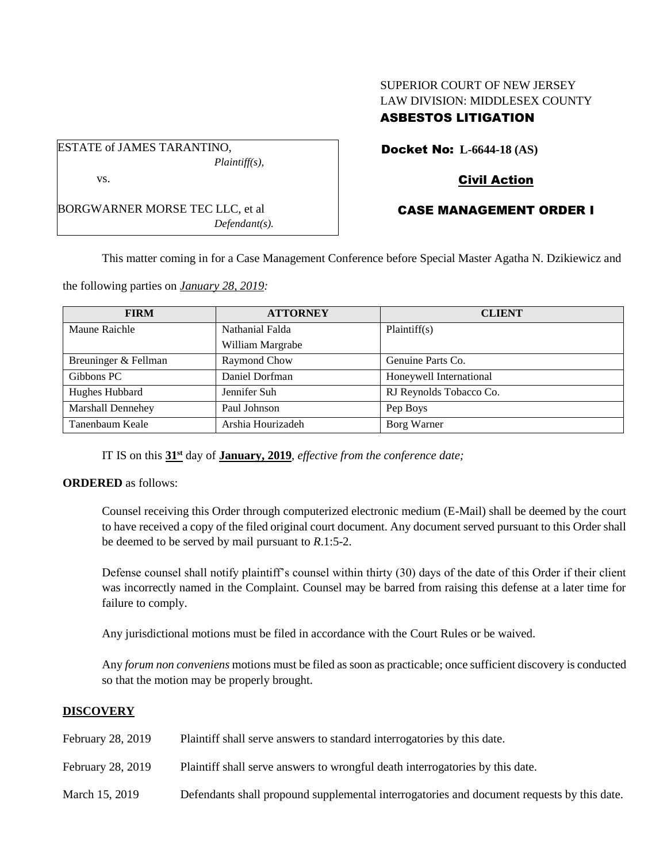# SUPERIOR COURT OF NEW JERSEY LAW DIVISION: MIDDLESEX COUNTY ASBESTOS LITIGATION

ESTATE of JAMES TARANTINO, *Plaintiff(s),* vs.

BORGWARNER MORSE TEC LLC, et al *Defendant(s).* Docket No: **L-6644-18 (AS)**

# Civil Action

# CASE MANAGEMENT ORDER I

This matter coming in for a Case Management Conference before Special Master Agatha N. Dzikiewicz and

the following parties on *January 28, 2019:*

| <b>FIRM</b>          | <b>ATTORNEY</b>   | <b>CLIENT</b>           |
|----------------------|-------------------|-------------------------|
| Maune Raichle        | Nathanial Falda   | Plaintiff(s)            |
|                      | William Margrabe  |                         |
| Breuninger & Fellman | Raymond Chow      | Genuine Parts Co.       |
| Gibbons PC           | Daniel Dorfman    | Honeywell International |
| Hughes Hubbard       | Jennifer Suh      | RJ Reynolds Tobacco Co. |
| Marshall Dennehey    | Paul Johnson      | Pep Boys                |
| Tanenbaum Keale      | Arshia Hourizadeh | Borg Warner             |

IT IS on this **31st** day of **January, 2019**, *effective from the conference date;*

### **ORDERED** as follows:

Counsel receiving this Order through computerized electronic medium (E-Mail) shall be deemed by the court to have received a copy of the filed original court document. Any document served pursuant to this Order shall be deemed to be served by mail pursuant to *R*.1:5-2.

Defense counsel shall notify plaintiff's counsel within thirty (30) days of the date of this Order if their client was incorrectly named in the Complaint. Counsel may be barred from raising this defense at a later time for failure to comply.

Any jurisdictional motions must be filed in accordance with the Court Rules or be waived.

Any *forum non conveniens* motions must be filed as soon as practicable; once sufficient discovery is conducted so that the motion may be properly brought.

### **DISCOVERY**

| February 28, 2019 | Plaintiff shall serve answers to standard interrogatories by this date.                    |
|-------------------|--------------------------------------------------------------------------------------------|
| February 28, 2019 | Plaintiff shall serve answers to wrongful death interrogatories by this date.              |
| March 15, 2019    | Defendants shall propound supplemental interrogatories and document requests by this date. |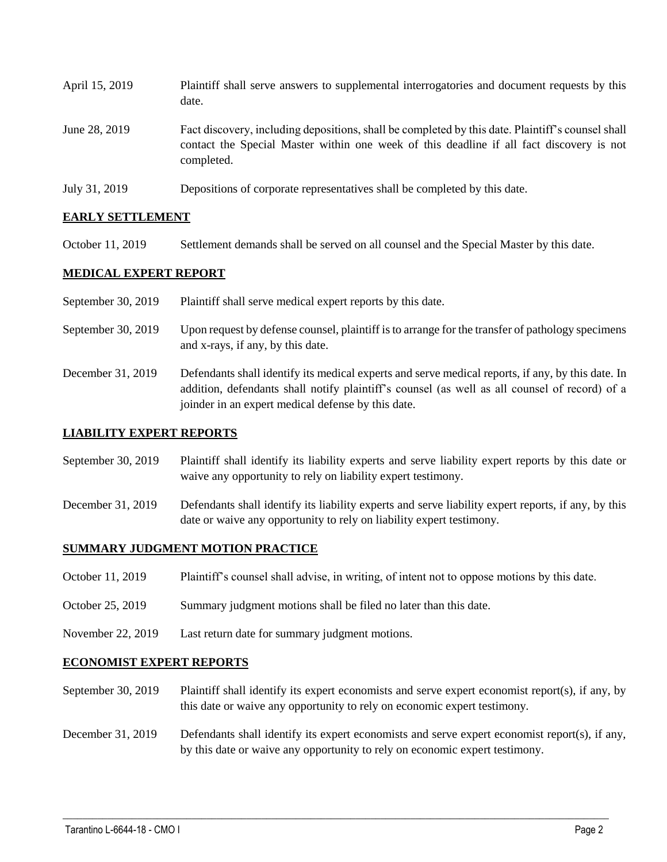| April 15, 2019 | Plaintiff shall serve answers to supplemental interrogatories and document requests by this<br>date.                                                                                                        |
|----------------|-------------------------------------------------------------------------------------------------------------------------------------------------------------------------------------------------------------|
| June 28, 2019  | Fact discovery, including depositions, shall be completed by this date. Plaintiff's counsel shall<br>contact the Special Master within one week of this deadline if all fact discovery is not<br>completed. |
| July 31, 2019  | Depositions of corporate representatives shall be completed by this date.                                                                                                                                   |

## **EARLY SETTLEMENT**

October 11, 2019 Settlement demands shall be served on all counsel and the Special Master by this date.

## **MEDICAL EXPERT REPORT**

- September 30, 2019 Plaintiff shall serve medical expert reports by this date.
- September 30, 2019 Upon request by defense counsel, plaintiff is to arrange for the transfer of pathology specimens and x-rays, if any, by this date.
- December 31, 2019 Defendants shall identify its medical experts and serve medical reports, if any, by this date. In addition, defendants shall notify plaintiff's counsel (as well as all counsel of record) of a joinder in an expert medical defense by this date.

### **LIABILITY EXPERT REPORTS**

- September 30, 2019 Plaintiff shall identify its liability experts and serve liability expert reports by this date or waive any opportunity to rely on liability expert testimony.
- December 31, 2019 Defendants shall identify its liability experts and serve liability expert reports, if any, by this date or waive any opportunity to rely on liability expert testimony.

## **SUMMARY JUDGMENT MOTION PRACTICE**

- October 11, 2019 Plaintiff's counsel shall advise, in writing, of intent not to oppose motions by this date.
- October 25, 2019 Summary judgment motions shall be filed no later than this date.
- November 22, 2019 Last return date for summary judgment motions.

### **ECONOMIST EXPERT REPORTS**

September 30, 2019 Plaintiff shall identify its expert economists and serve expert economist report(s), if any, by this date or waive any opportunity to rely on economic expert testimony.

December 31, 2019 Defendants shall identify its expert economists and serve expert economist report(s), if any, by this date or waive any opportunity to rely on economic expert testimony.

 $\_$  ,  $\_$  ,  $\_$  ,  $\_$  ,  $\_$  ,  $\_$  ,  $\_$  ,  $\_$  ,  $\_$  ,  $\_$  ,  $\_$  ,  $\_$  ,  $\_$  ,  $\_$  ,  $\_$  ,  $\_$  ,  $\_$  ,  $\_$  ,  $\_$  ,  $\_$  ,  $\_$  ,  $\_$  ,  $\_$  ,  $\_$  ,  $\_$  ,  $\_$  ,  $\_$  ,  $\_$  ,  $\_$  ,  $\_$  ,  $\_$  ,  $\_$  ,  $\_$  ,  $\_$  ,  $\_$  ,  $\_$  ,  $\_$  ,